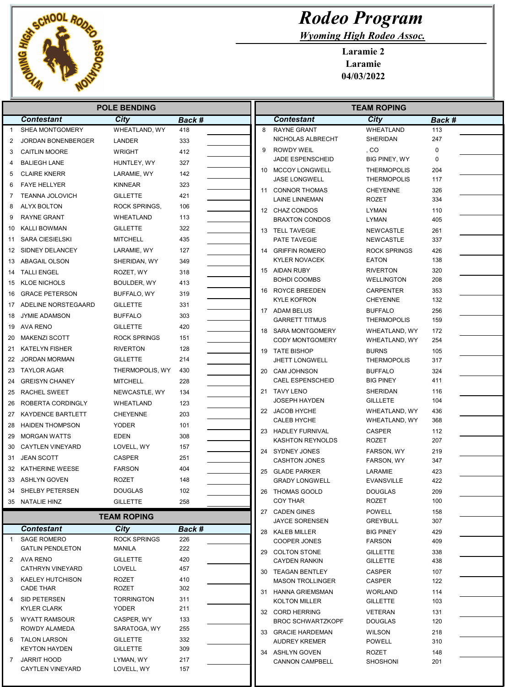

## Rodeo Program

Wyoming High Rodeo Assoc.

Laramie 2 Laramie 04/03/2022

| <b>POLE BENDING</b> |                                               |                                      |            |    | <b>TEAM ROPING</b>                            |                                 |            |  |
|---------------------|-----------------------------------------------|--------------------------------------|------------|----|-----------------------------------------------|---------------------------------|------------|--|
|                     | <b>Contestant</b>                             | City                                 | Back #     |    | <b>Contestant</b>                             | City                            | Back #     |  |
| $\mathbf{1}$        | SHEA MONTGOMERY                               | WHEATLAND, WY                        | 418        | 8  | <b>RAYNE GRANT</b>                            | WHEATLAND                       | 113        |  |
| 2                   | <b>JORDAN BONENBERGER</b>                     | LANDER                               | 333        |    | NICHOLAS ALBRECHT                             | SHERIDAN                        | 247        |  |
| 3                   | <b>CAITLIN MOORE</b>                          | <b>WRIGHT</b>                        | 412        | 9  | ROWDY WEIL                                    | , CO                            | 0          |  |
| 4                   | <b>BALIEGH LANE</b>                           | HUNTLEY, WY                          | 327        |    | <b>JADE ESPENSCHEID</b>                       | <b>BIG PINEY, WY</b>            | 0          |  |
| 5                   | <b>CLAIRE KNERR</b>                           | LARAMIE, WY                          | 142        |    | 10 MCCOY LONGWELL                             | <b>THERMOPOLIS</b>              | 204        |  |
| 6                   | <b>FAYE HELLYER</b>                           | KINNEAR                              | 323        |    | <b>JASE LONGWELL</b>                          | <b>THERMOPOLIS</b>              | 117        |  |
| 7                   | <b>TEANNA JOLOVICH</b>                        | <b>GILLETTE</b>                      | 421        | 11 | <b>CONNOR THOMAS</b><br><b>LAINE LINNEMAN</b> | <b>CHEYENNE</b><br><b>ROZET</b> | 326<br>334 |  |
| 8                   | ALYX BOLTON                                   | ROCK SPRINGS,                        | 106        |    | 12 CHAZ CONDOS                                | LYMAN                           | 110        |  |
| 9                   | <b>RAYNE GRANT</b>                            | WHEATLAND                            | 113        |    | <b>BRAXTON CONDOS</b>                         | LYMAN                           | 405        |  |
| 10                  | KALLI BOWMAN                                  | <b>GILLETTE</b>                      | 322        |    | 13 TELL TAVEGIE                               | <b>NEWCASTLE</b>                | 261        |  |
|                     | 11 SARA CIESIELSKI                            | <b>MITCHELL</b>                      | 435        |    | PATE TAVEGIE                                  | <b>NEWCASTLE</b>                | 337        |  |
|                     | 12 SIDNEY DELANCEY                            | LARAMIE, WY                          | 127        |    | 14 GRIFFIN ROMERO                             | <b>ROCK SPRINGS</b>             | 426        |  |
| 13                  | ABAGAIL OLSON                                 | SHERIDAN, WY                         | 349        |    | <b>KYLER NOVACEK</b>                          | <b>EATON</b>                    | 138        |  |
| 14                  | <b>TALLI ENGEL</b>                            | ROZET, WY                            | 318        |    | 15 AIDAN RUBY                                 | <b>RIVERTON</b>                 | 320        |  |
| 15                  | <b>KLOE NICHOLS</b>                           | BOULDER, WY                          | 413        |    | <b>BOHDI COOMBS</b>                           | <b>WELLINGTON</b>               | 208        |  |
| 16                  | <b>GRACE PETERSON</b>                         | BUFFALO, WY                          | 319        |    | 16 ROYCE BREEDEN                              | <b>CARPENTER</b>                | 353        |  |
| 17                  | ADELINE NORSTEGAARD                           | <b>GILLETTE</b>                      | 331        |    | <b>KYLE KOFRON</b>                            | <b>CHEYENNE</b>                 | 132        |  |
| 18                  | <b>JYMIE ADAMSON</b>                          | <b>BUFFALO</b>                       | 303        |    | 17 ADAM BELUS                                 | <b>BUFFALO</b>                  | 256        |  |
|                     | 19 AVA RENO                                   | <b>GILLETTE</b>                      | 420        |    | <b>GARRETT TITMUS</b>                         | <b>THERMOPOLIS</b>              | 159        |  |
|                     | 20 MAKENZI SCOTT                              | <b>ROCK SPRINGS</b>                  | 151        |    | 18 SARA MONTGOMERY<br><b>CODY MONTGOMERY</b>  | WHEATLAND, WY<br>WHEATLAND, WY  | 172<br>254 |  |
|                     | 21 KATELYN FISHER                             | <b>RIVERTON</b>                      | 128        | 19 | TATE BISHOP                                   | <b>BURNS</b>                    | 105        |  |
|                     | 22 JORDAN MORMAN                              | <b>GILLETTE</b>                      | 214        |    | <b>JHETT LONGWELL</b>                         | <b>THERMOPOLIS</b>              | 317        |  |
| 23                  | <b>TAYLOR AGAR</b>                            | THERMOPOLIS, WY                      | 430        | 20 | CAM JOHNSON                                   | <b>BUFFALO</b>                  | 324        |  |
| 24                  | <b>GREISYN CHANEY</b>                         | <b>MITCHELL</b>                      | 228        |    | <b>CAEL ESPENSCHEID</b>                       | <b>BIG PINEY</b>                | 411        |  |
|                     | 25 RACHEL SWEET                               | NEWCASTLE, WY                        | 134        |    | 21 TAVY LENO                                  | <b>SHERIDAN</b>                 | 116        |  |
| 26                  | ROBERTA CORDINGLY                             | WHEATLAND                            | 123        |    | <b>JOSEPH HAYDEN</b>                          | <b>GILLLETE</b>                 | 104        |  |
| 27                  | KAYDENCE BARTLETT                             | <b>CHEYENNE</b>                      | 203        |    | 22 JACOB HYCHE                                | WHEATLAND, WY                   | 436        |  |
| 28                  | <b>HAIDEN THOMPSON</b>                        | <b>YODER</b>                         | 101        |    | <b>CALEB HYCHE</b>                            | WHEATLAND, WY                   | 368        |  |
| 29                  | <b>MORGAN WATTS</b>                           | <b>EDEN</b>                          | 308        |    | 23 HADLEY FURNIVAL                            | <b>CASPER</b>                   | 112        |  |
| 30                  | <b>CAYTLEN VINEYARD</b>                       | LOVELL, WY                           | 157        |    | <b>KASHTON REYNOLDS</b>                       | ROZET                           | 207        |  |
| 31                  | <b>JEAN SCOTT</b>                             | <b>CASPER</b>                        | 251        |    | 24 SYDNEY JONES<br><b>CASHTON JONES</b>       | FARSON, WY<br>FARSON, WY        | 219<br>347 |  |
|                     | 32 KATHERINE WEESE                            | <b>FARSON</b>                        | 404        |    | 25 GLADE PARKER                               | LARAMIE                         | 423        |  |
|                     | 33 ASHLYN GOVEN                               | <b>ROZET</b>                         | 148        |    | <b>GRADY LONGWELL</b>                         | <b>EVANSVILLE</b>               | 422        |  |
|                     | 34 SHELBY PETERSEN                            | <b>DOUGLAS</b>                       | 102        |    | 26 THOMAS GOOLD                               | <b>DOUGLAS</b>                  | 209        |  |
|                     | 35 NATALIE HINZ                               | <b>GILLETTE</b>                      | 258        |    | <b>COY THAR</b>                               | ROZET                           | 100        |  |
|                     |                                               |                                      |            |    | 27 CADEN GINES                                | <b>POWELL</b>                   | 158        |  |
|                     |                                               | <b>TEAM ROPING</b>                   |            |    | <b>JAYCE SORENSEN</b>                         | <b>GREYBULL</b>                 | 307        |  |
|                     | <b>Contestant</b>                             | City                                 | Back #     |    | 28 KALEB MILLER                               | <b>BIG PINEY</b>                | 429        |  |
| -1                  | <b>SAGE ROMERO</b><br><b>GATLIN PENDLETON</b> | <b>ROCK SPRINGS</b><br><b>MANILA</b> | 226<br>222 |    | COOPER JONES                                  | <b>FARSON</b>                   | 409        |  |
|                     | 2 AVA RENO                                    | <b>GILLETTE</b>                      | 420        |    | 29 COLTON STONE                               | <b>GILLETTE</b>                 | 338        |  |
|                     | CATHRYN VINEYARD                              | LOVELL                               | 457        |    | <b>CAYDEN RANKIN</b>                          | <b>GILLETTE</b>                 | 438        |  |
|                     | 3 KAELEY HUTCHISON                            | ROZET                                | 410        |    | 30 TEAGAN BENTLEY<br><b>MASON TROLLINGER</b>  | CASPER<br>CASPER                | 107<br>122 |  |
|                     | <b>CADE THAR</b>                              | ROZET                                | 302        |    | 31 HANNA GRIEMSMAN                            | <b>WORLAND</b>                  | 114        |  |
| 4                   | SID PETERSEN                                  | <b>TORRINGTON</b>                    | 311        |    | <b>KOLTON MILLER</b>                          | <b>GILLETTE</b>                 | 103        |  |
|                     | <b>KYLER CLARK</b>                            | <b>YODER</b>                         | 211        |    | 32 CORD HERRING                               | <b>VETERAN</b>                  | 131        |  |
|                     | 5 WYATT RAMSOUR                               | CASPER, WY                           | 133        |    | <b>BROC SCHWARTZKOPF</b>                      | <b>DOUGLAS</b>                  | 120        |  |
|                     | ROWDY ALAMEDA                                 | SARATOGA, WY                         | 255        |    | 33 GRACIE HARDEMAN                            | <b>WILSON</b>                   | 218        |  |
| 6                   | TALON LARSON                                  | <b>GILLETTE</b>                      | 332        |    | <b>AUDREY KREMER</b>                          | <b>POWELL</b>                   | 310        |  |
|                     | <b>KEYTON HAYDEN</b>                          | <b>GILLETTE</b>                      | 309        |    | 34 ASHLYN GOVEN                               | ROZET                           | 148        |  |
|                     | 7 JARRIT HOOD<br>CAYTLEN VINEYARD             | LYMAN, WY<br>LOVELL, WY              | 217<br>157 |    | <b>CANNON CAMPBELL</b>                        | <b>SHOSHONI</b>                 | 201        |  |
|                     |                                               |                                      |            |    |                                               |                                 |            |  |

Ш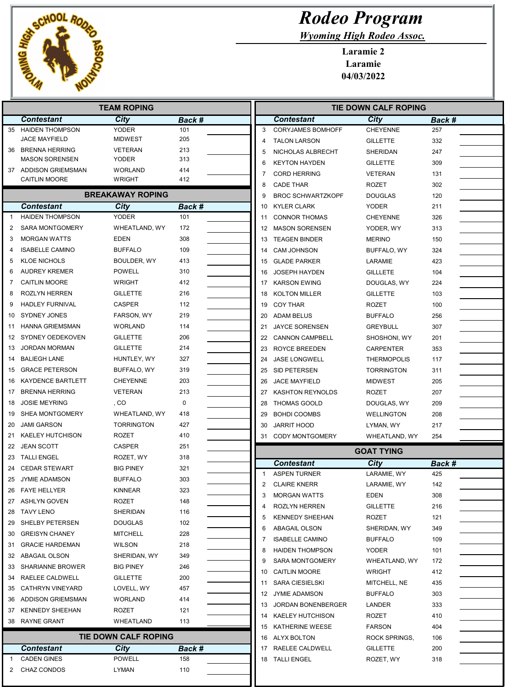

2 CHAZ CONDOS LYMAN 110

|              |                          | <b>TEAM ROPING</b>          |             |                |                              |
|--------------|--------------------------|-----------------------------|-------------|----------------|------------------------------|
|              | <b>Contestant</b>        | City                        | Back #      |                | <b>Contestant</b>            |
| 35           | <b>HAIDEN THOMPSON</b>   | <b>YODER</b>                | 101         |                | 3<br><b>CORYJAMES BOMHO</b>  |
|              | <b>JACE MAYFIELD</b>     | <b>MIDWEST</b>              | 205         | 4              | <b>TALON LARSON</b>          |
| 36           | BRENNA HERRING           | <b>VETERAN</b>              | 213         |                | NICHOLAS ALBRECH<br>5        |
|              | <b>MASON SORENSEN</b>    | <b>YODER</b>                | 313         | 6              | <b>KEYTON HAYDEN</b>         |
|              | 37 ADDISON GRIEMSMAN     | <b>WORLAND</b>              | 414<br>412  |                | 7<br><b>CORD HERRING</b>     |
|              | <b>CAITLIN MOORE</b>     | <b>WRIGHT</b>               |             |                | 8<br><b>CADE THAR</b>        |
|              |                          | <b>BREAKAWAY ROPING</b>     |             | 9              | <b>BROC SCHWARTZKO</b>       |
|              | <b>Contestant</b>        | City                        | Back #      |                | <b>KYLER CLARK</b><br>10     |
| 1            | <b>HAIDEN THOMPSON</b>   | <b>YODER</b>                | 101         |                | <b>CONNOR THOMAS</b><br>11   |
| 2            | <b>SARA MONTGOMERY</b>   | WHEATLAND, WY               | 172         |                | 12<br><b>MASON SORENSEN</b>  |
| 3            | <b>MORGAN WATTS</b>      | <b>EDEN</b>                 | 308         |                | <b>TEAGEN BINDER</b><br>13   |
| 4            | <b>ISABELLE CAMINO</b>   | <b>BUFFALO</b>              | 109         |                | <b>CAM JOHNSON</b><br>14     |
| 5            | <b>KLOE NICHOLS</b>      | BOULDER, WY                 | 413         |                | <b>GLADE PARKER</b><br>15    |
| 6            | <b>AUDREY KREMER</b>     | <b>POWELL</b>               | 310         |                | <b>JOSEPH HAYDEN</b><br>16   |
| 7            | <b>CAITLIN MOORE</b>     | <b>WRIGHT</b>               | 412         |                | <b>KARSON EWING</b><br>17    |
| 8            | <b>ROZLYN HERREN</b>     | <b>GILLETTE</b>             | 216         |                | <b>KOLTON MILLER</b><br>18   |
| 9            | <b>HADLEY FURNIVAL</b>   | <b>CASPER</b>               | 112         |                | <b>COY THAR</b><br>19        |
| 10           | <b>SYDNEY JONES</b>      | FARSON, WY                  | 219         |                | <b>ADAM BELUS</b><br>20      |
| 11           | <b>HANNA GRIEMSMAN</b>   | <b>WORLAND</b>              | 114         |                | <b>JAYCE SORENSEN</b><br>21  |
| 12           | SYDNEY OEDEKOVEN         | <b>GILLETTE</b>             | 206         |                | <b>CANNON CAMPBELL</b><br>22 |
| 13           | <b>JORDAN MORMAN</b>     | <b>GILLETTE</b>             | 214         |                | ROYCE BREEDEN<br>23          |
| 14           | <b>BALIEGH LANE</b>      | HUNTLEY, WY                 | 327         |                | <b>JASE LONGWELL</b><br>24   |
| 15           | <b>GRACE PETERSON</b>    | BUFFALO, WY                 | 319         |                | SID PETERSEN<br>25           |
| 16           | <b>KAYDENCE BARTLETT</b> | <b>CHEYENNE</b>             | 203         |                | 26<br><b>JACE MAYFIELD</b>   |
| 17           | <b>BRENNA HERRING</b>    | <b>VETERAN</b>              | 213         |                | 27<br><b>KASHTON REYNOLD</b> |
| 18           | <b>JOSIE MEYRING</b>     | , CO                        | $\mathbf 0$ |                | <b>THOMAS GOOLD</b><br>28    |
| 19           | <b>SHEA MONTGOMERY</b>   | WHEATLAND, WY               | 418         |                | <b>BOHDI COOMBS</b><br>29    |
| 20           | <b>JAMI GARSON</b>       | <b>TORRINGTON</b>           | 427         |                | <b>JARRIT HOOD</b><br>30     |
| 21           | <b>KAELEY HUTCHISON</b>  | <b>ROZET</b>                | 410         |                | 31<br><b>CODY MONTGOMER</b>  |
| 22           | <b>JEAN SCOTT</b>        | <b>CASPER</b>               | 251         |                |                              |
| 23           | <b>TALLI ENGEL</b>       | ROZET, WY                   | 318         |                |                              |
| 24           | <b>CEDAR STEWART</b>     | <b>BIG PINEY</b>            | 321         |                | <b>Contestant</b>            |
| 25           | <b>JYMIE ADAMSON</b>     | <b>BUFFALO</b>              | 303         |                | <b>ASPEN TURNER</b><br>1     |
|              | 26 FAYE HELLYER          | KINNEAR                     | 323         | $\overline{2}$ | <b>CLAIRE KNERR</b>          |
|              | 27 ASHLYN GOVEN          | ROZET                       | 148         |                | <b>MORGAN WATTS</b><br>3     |
| 28           | <b>TAVY LENO</b>         | <b>SHERIDAN</b>             | 116         |                | <b>ROZLYN HERREN</b><br>4    |
| 29           | SHELBY PETERSEN          | <b>DOUGLAS</b>              | 102         |                | <b>KENNEDY SHEEHAN</b><br>5  |
| 30           | <b>GREISYN CHANEY</b>    | <b>MITCHELL</b>             | 228         |                | ABAGAIL OLSON<br>6           |
| 31           | <b>GRACIE HARDEMAN</b>   | <b>WILSON</b>               | 218         |                | <b>ISABELLE CAMINO</b><br>7  |
|              | 32 ABAGAIL OLSON         | SHERIDAN, WY                | 349         |                | <b>HAIDEN THOMPSON</b><br>8  |
|              | 33 SHARIANNE BROWER      | <b>BIG PINEY</b>            | 246         |                | <b>SARA MONTGOMERY</b><br>9  |
|              | 34 RAELEE CALDWELL       | <b>GILLETTE</b>             | 200         |                | 10 CAITLIN MOORE             |
|              | 35 CATHRYN VINEYARD      | LOVELL, WY                  | 457         |                | <b>SARA CIESIELSKI</b><br>11 |
|              | 36 ADDISON GRIEMSMAN     | <b>WORLAND</b>              | 414         |                | 12 JYMIE ADAMSON             |
|              | 37 KENNEDY SHEEHAN       | ROZET                       | 121         |                | 13 JORDAN BONENBER           |
| 38           | <b>RAYNE GRANT</b>       | WHEATLAND                   | 113         |                | 14 KAELEY HUTCHISON          |
|              |                          |                             |             |                | 15 KATHERINE WEESE           |
|              |                          | <b>TIE DOWN CALF ROPING</b> |             |                | 16 ALYX BOLTON               |
|              | <b>Contestant</b>        | <b>City</b>                 | Back #      |                | 17 RAELEE CALDWELL           |
| $\mathbf{1}$ | <b>CADEN GINES</b>       | <b>POWELL</b>               | 158         |                | 18 TALLI ENGEL               |

## Rodeo Program

Wyoming High Rodeo Assoc.

Laramie 2 Laramie 04/03/2022

|                                     | TIE DOWN CALF ROPING                |                    |            |  |  |  |  |  |  |
|-------------------------------------|-------------------------------------|--------------------|------------|--|--|--|--|--|--|
| <b>Contestant</b><br>City<br>Back # |                                     |                    |            |  |  |  |  |  |  |
| 3                                   | <b>CORYJAMES BOMHOFF</b>            | <b>CHEYENNE</b>    | 257        |  |  |  |  |  |  |
| 4                                   | <b>TALON LARSON</b>                 | <b>GILLETTE</b>    | 332        |  |  |  |  |  |  |
| 5                                   | NICHOLAS ALBRECHT                   | SHERIDAN           | 247        |  |  |  |  |  |  |
| 6                                   | <b>KEYTON HAYDEN</b>                | <b>GILLETTE</b>    | 309        |  |  |  |  |  |  |
| 7                                   | <b>CORD HERRING</b>                 | <b>VETERAN</b>     | 131        |  |  |  |  |  |  |
| 8                                   | <b>CADE THAR</b>                    | <b>ROZET</b>       | 302        |  |  |  |  |  |  |
| 9                                   | <b>BROC SCHWARTZKOPF</b>            | DOUGLAS            | 120        |  |  |  |  |  |  |
| 10                                  | <b>KYLER CLARK</b>                  | <b>YODER</b>       | 211        |  |  |  |  |  |  |
| 11                                  | <b>CONNOR THOMAS</b>                | <b>CHEYENNE</b>    | 326        |  |  |  |  |  |  |
| 12                                  | <b>MASON SORENSEN</b>               | YODER, WY          | 313        |  |  |  |  |  |  |
| 13                                  | <b>TEAGEN BINDER</b>                | <b>MERINO</b>      | 150        |  |  |  |  |  |  |
| 14                                  | <b>CAM JOHNSON</b>                  | BUFFALO, WY        | 324        |  |  |  |  |  |  |
| 15                                  | <b>GLADE PARKER</b>                 | LARAMIE            | 423        |  |  |  |  |  |  |
|                                     |                                     |                    |            |  |  |  |  |  |  |
| 16                                  | <b>JOSEPH HAYDEN</b>                | <b>GILLLETE</b>    | 104        |  |  |  |  |  |  |
| 17                                  | <b>KARSON EWING</b>                 | DOUGLAS, WY        | 224        |  |  |  |  |  |  |
| 18                                  | <b>KOLTON MILLER</b>                | <b>GILLETTE</b>    | 103        |  |  |  |  |  |  |
| 19                                  | <b>COY THAR</b>                     | ROZET              | 100        |  |  |  |  |  |  |
| 20                                  | <b>ADAM BELUS</b>                   | <b>BUFFALO</b>     | 256        |  |  |  |  |  |  |
| 21                                  | <b>JAYCE SORENSEN</b>               | <b>GREYBULL</b>    | 307        |  |  |  |  |  |  |
| 22                                  | <b>CANNON CAMPBELL</b>              | SHOSHONI, WY       | 201        |  |  |  |  |  |  |
| 23                                  | ROYCE BREEDEN                       | <b>CARPENTER</b>   | 353        |  |  |  |  |  |  |
| 24                                  | <b>JASE LONGWELL</b>                | <b>THERMOPOLIS</b> | 117        |  |  |  |  |  |  |
| 25                                  | SID PETERSEN                        | TORRINGTON         | 311        |  |  |  |  |  |  |
| 26                                  | <b>JACE MAYFIELD</b>                | MIDWEST            | 205        |  |  |  |  |  |  |
| 27                                  | <b>KASHTON REYNOLDS</b>             | <b>ROZET</b>       | 207        |  |  |  |  |  |  |
| 28                                  | <b>THOMAS GOOLD</b>                 | DOUGLAS, WY        | 209        |  |  |  |  |  |  |
| 29                                  | <b>BOHDI COOMBS</b>                 | <b>WELLINGTON</b>  | 208        |  |  |  |  |  |  |
| 30                                  | <b>JARRIT HOOD</b>                  | LYMAN, WY          | 217        |  |  |  |  |  |  |
| 31                                  | <b>CODY MONTGOMERY</b>              | WHEATLAND, WY      | 254        |  |  |  |  |  |  |
|                                     |                                     | <b>GOAT TYING</b>  |            |  |  |  |  |  |  |
|                                     | <b>Contestant</b><br>City<br>Back # |                    |            |  |  |  |  |  |  |
| 1                                   | <b>ASPEN TURNER</b>                 | LARAMIE, WY        | 425        |  |  |  |  |  |  |
| 2.                                  | <b>CLAIRE KNERR</b>                 | LARAMIE, WY        | 142        |  |  |  |  |  |  |
| 3                                   | <b>MORGAN WATTS</b>                 | EDEN               | 308        |  |  |  |  |  |  |
| 4                                   | <b>ROZLYN HERREN</b>                | <b>GILLETTE</b>    | 216        |  |  |  |  |  |  |
| 5                                   | KENNEDY SHEEHAN                     | ROZET              | 121        |  |  |  |  |  |  |
| 6                                   | ABAGAIL OLSON                       | SHERIDAN, WY       | 349        |  |  |  |  |  |  |
| 7                                   | <b>ISABELLE CAMINO</b>              | <b>BUFFALO</b>     | 109        |  |  |  |  |  |  |
| 8                                   | <b>HAIDEN THOMPSON</b>              | <b>YODER</b>       | 101        |  |  |  |  |  |  |
| 9                                   | SARA MONTGOMERY                     | WHEATLAND, WY      | 172        |  |  |  |  |  |  |
| 10                                  | <b>CAITLIN MOORE</b>                | WRIGHT             | 412        |  |  |  |  |  |  |
| 11                                  | <b>SARA CIESIELSKI</b>              | MITCHELL, NE       | 435        |  |  |  |  |  |  |
| 12                                  | <b>JYMIE ADAMSON</b>                | <b>BUFFALO</b>     | 303        |  |  |  |  |  |  |
| 13                                  | JORDAN BONENBERGER                  | LANDER             | 333        |  |  |  |  |  |  |
| 14                                  | KAELEY HUTCHISON                    | ROZET              | 410        |  |  |  |  |  |  |
| 15                                  | KATHERINE WEESE                     | <b>FARSON</b>      | 404        |  |  |  |  |  |  |
|                                     | 16 ALYX BOLTON                      | ROCK SPRINGS,      | 106        |  |  |  |  |  |  |
| 17                                  | RAELEE CALDWELL                     | <b>GILLETTE</b>    |            |  |  |  |  |  |  |
| 18                                  | <b>TALLI ENGEL</b>                  | ROZET, WY          | 200<br>318 |  |  |  |  |  |  |
|                                     |                                     |                    |            |  |  |  |  |  |  |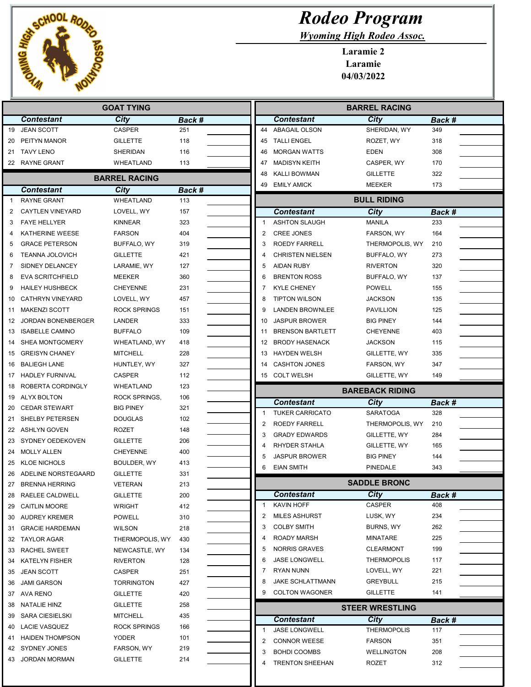

## Rodeo Program

Wyoming High Rodeo Assoc.

Laramie 2 Laramie 04/03/2022

| <b>GOAT TYING</b> |                           |                      |        | <b>BARREL RACING</b> |                |                                           |                               |        |
|-------------------|---------------------------|----------------------|--------|----------------------|----------------|-------------------------------------------|-------------------------------|--------|
|                   | <b>Contestant</b>         | City                 | Back # |                      |                | <b>Contestant</b>                         | City                          | Back # |
| 19                | <b>JEAN SCOTT</b>         | <b>CASPER</b>        | 251    |                      |                | 44 ABAGAIL OLSON                          | SHERIDAN, WY                  | 349    |
| 20                | PEITYN MANOR              | <b>GILLETTE</b>      | 118    |                      | 45             | <b>TALLI ENGEL</b>                        | ROZET, WY                     | 318    |
|                   | 21 TAVY LENO              | SHERIDAN             | 116    |                      | 46             | <b>MORGAN WATTS</b>                       | <b>EDEN</b>                   | 308    |
|                   | 22 RAYNE GRANT            | WHEATLAND            | 113    |                      | 47             | <b>MADISYN KEITH</b>                      | CASPER, WY                    | 170    |
|                   |                           | <b>BARREL RACING</b> |        |                      | 48             | <b>KALLI BOWMAN</b>                       | <b>GILLETTE</b>               | 322    |
|                   | <b>Contestant</b>         | City                 | Back # |                      | 49             | <b>EMILY AMICK</b>                        | <b>MEEKER</b>                 | 173    |
|                   | <b>RAYNE GRANT</b>        | WHEATLAND            | 113    |                      |                |                                           | <b>BULL RIDING</b>            |        |
| 2                 | <b>CAYTLEN VINEYARD</b>   | LOVELL, WY           | 157    |                      |                | <b>Contestant</b>                         | <b>City</b>                   | Back # |
| 3                 | <b>FAYE HELLYER</b>       | <b>KINNEAR</b>       | 323    |                      |                | <b>ASHTON SLAUGH</b>                      | <b>MANILA</b>                 | 233    |
| 4                 | KATHERINE WEESE           | <b>FARSON</b>        | 404    |                      | $\overline{2}$ | <b>CREE JONES</b>                         | FARSON, WY                    | 164    |
| 5                 | <b>GRACE PETERSON</b>     | BUFFALO, WY          | 319    |                      | 3              | <b>ROEDY FARRELL</b>                      | THERMOPOLIS, WY               | 210    |
| 6                 | <b>TEANNA JOLOVICH</b>    | <b>GILLETTE</b>      | 421    |                      |                | <b>CHRISTEN NIELSEN</b>                   | BUFFALO, WY                   | 273    |
| 7                 | SIDNEY DELANCEY           | LARAMIE, WY          | 127    |                      | 5              | <b>AIDAN RUBY</b>                         | <b>RIVERTON</b>               | 320    |
| 8                 | <b>EVA SCRITCHFIELD</b>   | <b>MEEKER</b>        | 360    |                      | 6              | <b>BRENTON ROSS</b>                       | BUFFALO, WY                   | 137    |
| 9                 | <b>HAILEY HUSHBECK</b>    | <b>CHEYENNE</b>      | 231    |                      | 7              | <b>KYLE CHENEY</b>                        | <b>POWELL</b>                 | 155    |
| 10                | <b>CATHRYN VINEYARD</b>   | LOVELL, WY           | 457    |                      | 8              | <b>TIPTON WILSON</b>                      | <b>JACKSON</b>                | 135    |
| 11                | <b>MAKENZI SCOTT</b>      | ROCK SPRINGS         | 151    |                      | 9              | <b>LANDEN BROWNLEE</b>                    | <b>PAVILLION</b>              | 125    |
| 12                | <b>JORDAN BONENBERGER</b> | LANDER               | 333    |                      | 10             | <b>JASPUR BROWER</b>                      | <b>BIG PINEY</b>              | 144    |
| 13                | <b>ISABELLE CAMINO</b>    | <b>BUFFALO</b>       | 109    |                      | 11             | <b>BRENSON BARTLETT</b>                   | <b>CHEYENNE</b>               | 403    |
| 14                | <b>SHEA MONTGOMERY</b>    | WHEATLAND, WY        | 418    |                      | 12             | <b>BRODY HASENACK</b>                     | <b>JACKSON</b>                | 115    |
| 15                | <b>GREISYN CHANEY</b>     | MITCHELL             | 228    |                      | 13             | <b>HAYDEN WELSH</b>                       | GILLETTE, WY                  | 335    |
| 16                | <b>BALIEGH LANE</b>       | HUNTLEY, WY          | 327    |                      | 14             | <b>CASHTON JONES</b>                      | FARSON, WY                    | 347    |
| 17                | <b>HADLEY FURNIVAL</b>    | <b>CASPER</b>        | 112    |                      | 15             | <b>COLT WELSH</b>                         | GILLETTE, WY                  | 149    |
| 18                | ROBERTA CORDINGLY         | WHEATLAND            | 123    |                      |                |                                           | <b>BAREBACK RIDING</b>        |        |
| 19                | ALYX BOLTON               | ROCK SPRINGS,        | 106    |                      |                | <b>Contestant</b>                         | City                          | Back # |
| 20                | <b>CEDAR STEWART</b>      | <b>BIG PINEY</b>     | 321    |                      | 1              | <b>TUKER CARRICATO</b>                    | <b>SARATOGA</b>               | 328    |
| 21                | SHELBY PETERSEN           | DOUGLAS              | 102    |                      | 2              | ROEDY FARRELL                             | THERMOPOLIS, WY               | 210    |
| 22                | ASHLYN GOVEN              | <b>ROZET</b>         | 148    |                      | 3              | <b>GRADY EDWARDS</b>                      | GILLETTE, WY                  | 284    |
| 23                | SYDNEY OEDEKOVEN          | <b>GILLETTE</b>      | 206    |                      | 4              | RHYDER STAHLA                             | GILLETTE, WY                  | 165    |
| 24                | <b>MOLLY ALLEN</b>        | <b>CHEYENNE</b>      | 400    |                      | 5              | <b>JASPUR BROWER</b>                      | <b>BIG PINEY</b>              | 144    |
| 25                | <b>KLOE NICHOLS</b>       | BOULDER, WY          | 413    |                      | 6              | <b>EIAN SMITH</b>                         | <b>PINEDALE</b>               | 343    |
| 26                | ADELINE NORSTEGAARD       | <b>GILLETTE</b>      | 331    |                      |                |                                           |                               |        |
|                   | 27 BRENNA HERRING         | <b>VETERAN</b>       | 213    |                      |                |                                           | <b>SADDLE BRONC</b>           |        |
| 28                | RAELEE CALDWELL           | GILLETTE             | 200    |                      |                | <b>Contestant</b>                         | <b>City</b>                   | Back # |
| 29                | <b>CAITLIN MOORE</b>      | WRIGHT               | 412    |                      | 1              | KAVIN HOFF                                | CASPER                        | 408    |
| 30                | AUDREY KREMER             | <b>POWELL</b>        | 310    |                      | 2              | <b>MILES ASHURST</b>                      | LUSK, WY                      | 234    |
| 31                | <b>GRACIE HARDEMAN</b>    | <b>WILSON</b>        | 218    |                      | 3              | <b>COLBY SMITH</b>                        | BURNS, WY                     | 262    |
| 32                | TAYLOR AGAR               | THERMOPOLIS, WY      | 430    |                      | 4              | ROADY MARSH                               | <b>MINATARE</b>               | 225    |
| 33                | <b>RACHEL SWEET</b>       | NEWCASTLE, WY        | 134    |                      | 5              | <b>NORRIS GRAVES</b>                      | <b>CLEARMONT</b>              | 199    |
| 34                | <b>KATELYN FISHER</b>     | <b>RIVERTON</b>      | 128    |                      | 6              | <b>JASE LONGWELL</b>                      | <b>THERMOPOLIS</b>            | 117    |
| 35                | <b>JEAN SCOTT</b>         | CASPER               | 251    |                      |                | <b>RYAN NUNN</b>                          | LOVELL, WY<br><b>GREYBULL</b> | 221    |
| 36                | <b>JAMI GARSON</b>        | <b>TORRINGTON</b>    | 427    |                      |                | JAKE SCHLATTMANN<br><b>COLTON WAGONER</b> |                               | 215    |
|                   | 37 AVA RENO               | GILLETTE             | 420    |                      |                |                                           | <b>GILLETTE</b>               | 141    |
| 38                | NATALIE HINZ              | <b>GILLETTE</b>      | 258    |                      |                |                                           | <b>STEER WRESTLING</b>        |        |
| 39                | <b>SARA CIESIELSKI</b>    | <b>MITCHELL</b>      | 435    |                      |                | <b>Contestant</b>                         | City                          | Back # |
| 40                | <b>LACIE VASQUEZ</b>      | ROCK SPRINGS         | 166    |                      | 1              | JASE LONGWELL                             | <b>THERMOPOLIS</b>            | 117    |
| 41                | <b>HAIDEN THOMPSON</b>    | YODER                | 101    |                      | 2              | <b>CONNOR WEESE</b>                       | <b>FARSON</b>                 | 351    |
|                   | 42 SYDNEY JONES           | FARSON, WY           | 219    |                      | 3              | <b>BOHDI COOMBS</b>                       | <b>WELLINGTON</b>             | 208    |
| 43                | <b>JORDAN MORMAN</b>      | GILLETTE             | 214    |                      | 4              | <b>TRENTON SHEEHAN</b>                    | <b>ROZET</b>                  | 312    |
|                   |                           |                      |        |                      |                |                                           |                               |        |
|                   |                           |                      |        |                      |                |                                           |                               |        |